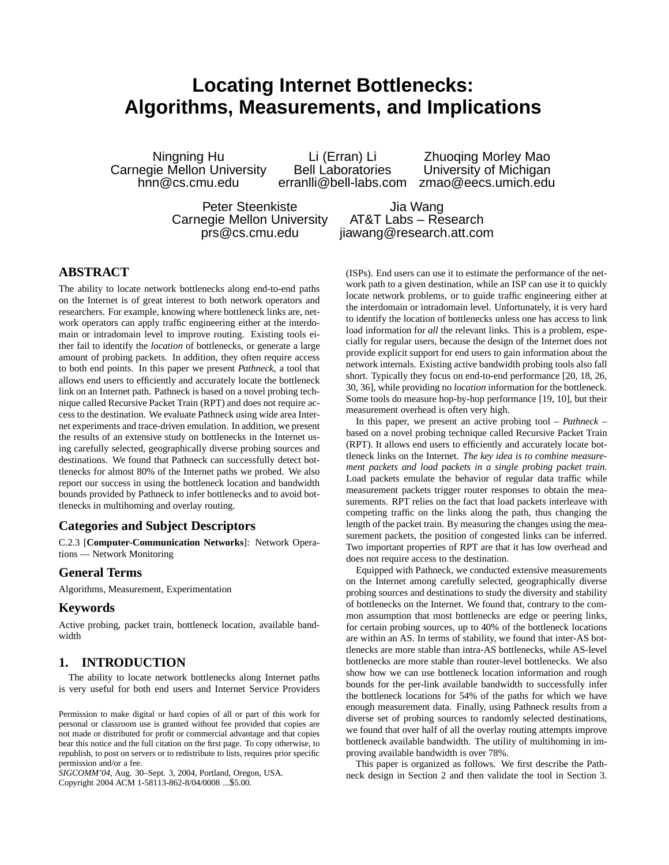# **Locating Internet Bottlenecks: Algorithms, Measurements, and Implications**

Carnegie Mellon University Bell Laboratories University of Michigan<br>hnn@cs.cmu.edu erranlli@bell-labs.com zmao@eecs.umich.edu

Ningning Hu Li (Erran) Li Zhuoqing Morley Mao erranlli@bell-labs.com zmao@eecs.umich.edu

Peter Steenkiste Mang Carnegie Mellon University AT&T Labs – Research

prs@cs.cmu.edu jiawang@research.att.com

# **ABSTRACT**

The ability to locate network bottlenecks along end-to-end paths on the Internet is of great interest to both network operators and researchers. For example, knowing where bottleneck links are, network operators can apply traffic engineering either at the interdomain or intradomain level to improve routing. Existing tools either fail to identify the *location* of bottlenecks, or generate a large amount of probing packets. In addition, they often require access to both end points. In this paper we present *Pathneck*, a tool that allows end users to efficiently and accurately locate the bottleneck link on an Internet path. Pathneck is based on a novel probing technique called Recursive Packet Train (RPT) and does not require access to the destination. We evaluate Pathneck using wide area Internet experiments and trace-driven emulation. In addition, we present the results of an extensive study on bottlenecks in the Internet using carefully selected, geographically diverse probing sources and destinations. We found that Pathneck can successfully detect bottlenecks for almost 80% of the Internet paths we probed. We also report our success in using the bottleneck location and bandwidth bounds provided by Pathneck to infer bottlenecks and to avoid bottlenecks in multihoming and overlay routing.

# **Categories and Subject Descriptors**

C.2.3 [**Computer-Communication Networks**]: Network Operations — Network Monitoring

# **General Terms**

Algorithms, Measurement, Experimentation

# **Keywords**

Active probing, packet train, bottleneck location, available bandwidth

# **1. INTRODUCTION**

The ability to locate network bottlenecks along Internet paths is very useful for both end users and Internet Service Providers

*SIGCOMM'04,* Aug. 30–Sept. 3, 2004, Portland, Oregon, USA. Copyright 2004 ACM 1-58113-862-8/04/0008 ...\$5.00.

(ISPs). End users can use it to estimate the performance of the network path to a given destination, while an ISP can use it to quickly locate network problems, or to guide traffic engineering either at the interdomain or intradomain level. Unfortunately, it is very hard to identify the location of bottlenecks unless one has access to link load information for *all* the relevant links. This is a problem, especially for regular users, because the design of the Internet does not provide explicit support for end users to gain information about the network internals. Existing active bandwidth probing tools also fall short. Typically they focus on end-to-end performance [20, 18, 26, 30, 36], while providing no *location* information for the bottleneck. Some tools do measure hop-by-hop performance [19, 10], but their measurement overhead is often very high.

In this paper, we present an active probing tool – *Pathneck* – based on a novel probing technique called Recursive Packet Train (RPT). It allows end users to efficiently and accurately locate bottleneck links on the Internet. *The key idea is to combine measurement packets and load packets in a single probing packet train.* Load packets emulate the behavior of regular data traffic while measurement packets trigger router responses to obtain the measurements. RPT relies on the fact that load packets interleave with competing traffic on the links along the path, thus changing the length of the packet train. By measuring the changes using the measurement packets, the position of congested links can be inferred. Two important properties of RPT are that it has low overhead and does not require access to the destination.

Equipped with Pathneck, we conducted extensive measurements on the Internet among carefully selected, geographically diverse probing sources and destinations to study the diversity and stability of bottlenecks on the Internet. We found that, contrary to the common assumption that most bottlenecks are edge or peering links, for certain probing sources, up to 40% of the bottleneck locations are within an AS. In terms of stability, we found that inter-AS bottlenecks are more stable than intra-AS bottlenecks, while AS-level bottlenecks are more stable than router-level bottlenecks. We also show how we can use bottleneck location information and rough bounds for the per-link available bandwidth to successfully infer the bottleneck locations for 54% of the paths for which we have enough measurement data. Finally, using Pathneck results from a diverse set of probing sources to randomly selected destinations, we found that over half of all the overlay routing attempts improve bottleneck available bandwidth. The utility of multihoming in improving available bandwidth is over 78%.

This paper is organized as follows. We first describe the Pathneck design in Section 2 and then validate the tool in Section 3.

Permission to make digital or hard copies of all or part of this work for personal or classroom use is granted without fee provided that copies are not made or distributed for profit or commercial advantage and that copies bear this notice and the full citation on the first page. To copy otherwise, to republish, to post on servers or to redistribute to lists, requires prior specific permission and/or a fee.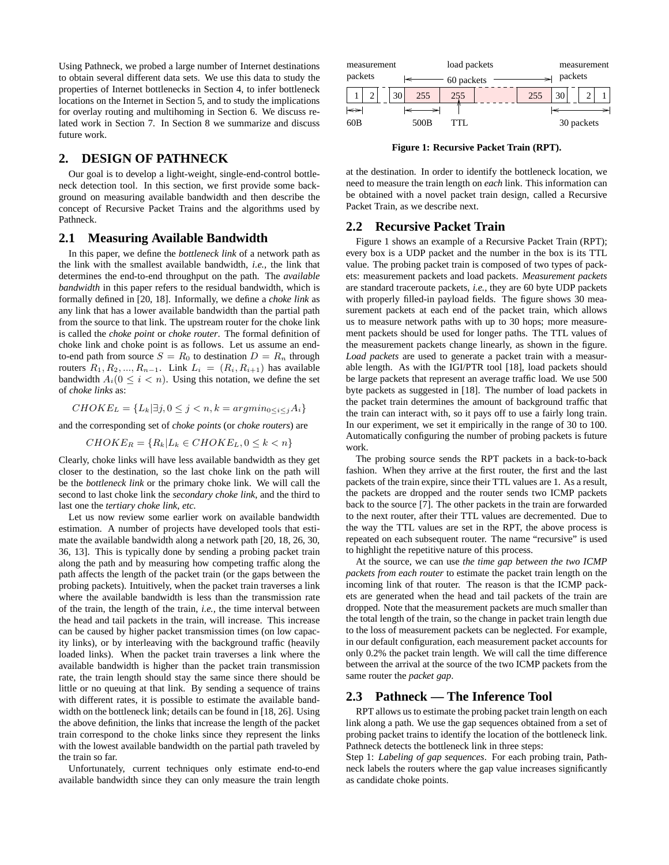Using Pathneck, we probed a large number of Internet destinations to obtain several different data sets. We use this data to study the properties of Internet bottlenecks in Section 4, to infer bottleneck locations on the Internet in Section 5, and to study the implications for overlay routing and multihoming in Section 6. We discuss related work in Section 7. In Section 8 we summarize and discuss future work.

# **2. DESIGN OF PATHNECK**

Our goal is to develop a light-weight, single-end-control bottleneck detection tool. In this section, we first provide some background on measuring available bandwidth and then describe the concept of Recursive Packet Trains and the algorithms used by Pathneck.

#### **2.1 Measuring Available Bandwidth**

In this paper, we define the *bottleneck link* of a network path as the link with the smallest available bandwidth, *i.e.,* the link that determines the end-to-end throughput on the path. The *available bandwidth* in this paper refers to the residual bandwidth, which is formally defined in [20, 18]. Informally, we define a *choke link* as any link that has a lower available bandwidth than the partial path from the source to that link. The upstream router for the choke link is called the *choke point* or *choke router*. The formal definition of choke link and choke point is as follows. Let us assume an endto-end path from source  $S = R_0$  to destination  $D = R_n$  through routers  $R_1, R_2, ..., R_{n-1}$ . Link  $L_i = (R_i, R_{i+1})$  has available bandwidth  $A_i(0 \leq i < n)$ . Using this notation, we define the set of *choke links* as:

$$
CHOKE_L = \{L_k | \exists j, 0 \le j < n, k = argmin_{0 \le i \le j} A_i\}
$$

and the corresponding set of *choke points* (or *choke routers*) are

$$
CHOKE_R = \{R_k | L_k \in CHOKE_L, 0 \le k < n\}
$$

Clearly, choke links will have less available bandwidth as they get closer to the destination, so the last choke link on the path will be the *bottleneck link* or the primary choke link. We will call the second to last choke link the *secondary choke link*, and the third to last one the *tertiary choke link*, *etc.*

Let us now review some earlier work on available bandwidth estimation. A number of projects have developed tools that estimate the available bandwidth along a network path [20, 18, 26, 30, 36, 13]. This is typically done by sending a probing packet train along the path and by measuring how competing traffic along the path affects the length of the packet train (or the gaps between the probing packets). Intuitively, when the packet train traverses a link where the available bandwidth is less than the transmission rate of the train, the length of the train, *i.e.,* the time interval between the head and tail packets in the train, will increase. This increase can be caused by higher packet transmission times (on low capacity links), or by interleaving with the background traffic (heavily loaded links). When the packet train traverses a link where the available bandwidth is higher than the packet train transmission rate, the train length should stay the same since there should be little or no queuing at that link. By sending a sequence of trains with different rates, it is possible to estimate the available bandwidth on the bottleneck link; details can be found in [18, 26]. Using the above definition, the links that increase the length of the packet train correspond to the choke links since they represent the links with the lowest available bandwidth on the partial path traveled by the train so far.

Unfortunately, current techniques only estimate end-to-end available bandwidth since they can only measure the train length



**Figure 1: Recursive Packet Train (RPT).**

at the destination. In order to identify the bottleneck location, we need to measure the train length on *each* link. This information can be obtained with a novel packet train design, called a Recursive Packet Train, as we describe next.

# **2.2 Recursive Packet Train**

Figure 1 shows an example of a Recursive Packet Train (RPT); every box is a UDP packet and the number in the box is its TTL value. The probing packet train is composed of two types of packets: measurement packets and load packets. *Measurement packets* are standard traceroute packets, *i.e.,* they are 60 byte UDP packets with properly filled-in payload fields. The figure shows 30 measurement packets at each end of the packet train, which allows us to measure network paths with up to 30 hops; more measurement packets should be used for longer paths. The TTL values of the measurement packets change linearly, as shown in the figure. *Load packets* are used to generate a packet train with a measurable length. As with the IGI/PTR tool [18], load packets should be large packets that represent an average traffic load. We use 500 byte packets as suggested in [18]. The number of load packets in the packet train determines the amount of background traffic that the train can interact with, so it pays off to use a fairly long train. In our experiment, we set it empirically in the range of 30 to 100. Automatically configuring the number of probing packets is future work.

The probing source sends the RPT packets in a back-to-back fashion. When they arrive at the first router, the first and the last packets of the train expire, since their TTL values are 1. As a result, the packets are dropped and the router sends two ICMP packets back to the source [7]. The other packets in the train are forwarded to the next router, after their TTL values are decremented. Due to the way the TTL values are set in the RPT, the above process is repeated on each subsequent router. The name "recursive" is used to highlight the repetitive nature of this process.

At the source, we can use *the time gap between the two ICMP packets from each router* to estimate the packet train length on the incoming link of that router. The reason is that the ICMP packets are generated when the head and tail packets of the train are dropped. Note that the measurement packets are much smaller than the total length of the train, so the change in packet train length due to the loss of measurement packets can be neglected. For example, in our default configuration, each measurement packet accounts for only 0.2% the packet train length. We will call the time difference between the arrival at the source of the two ICMP packets from the same router the *packet gap*.

# **2.3 Pathneck — The Inference Tool**

RPT allows us to estimate the probing packet train length on each link along a path. We use the gap sequences obtained from a set of probing packet trains to identify the location of the bottleneck link. Pathneck detects the bottleneck link in three steps:

Step 1: *Labeling of gap sequences*. For each probing train, Pathneck labels the routers where the gap value increases significantly as candidate choke points.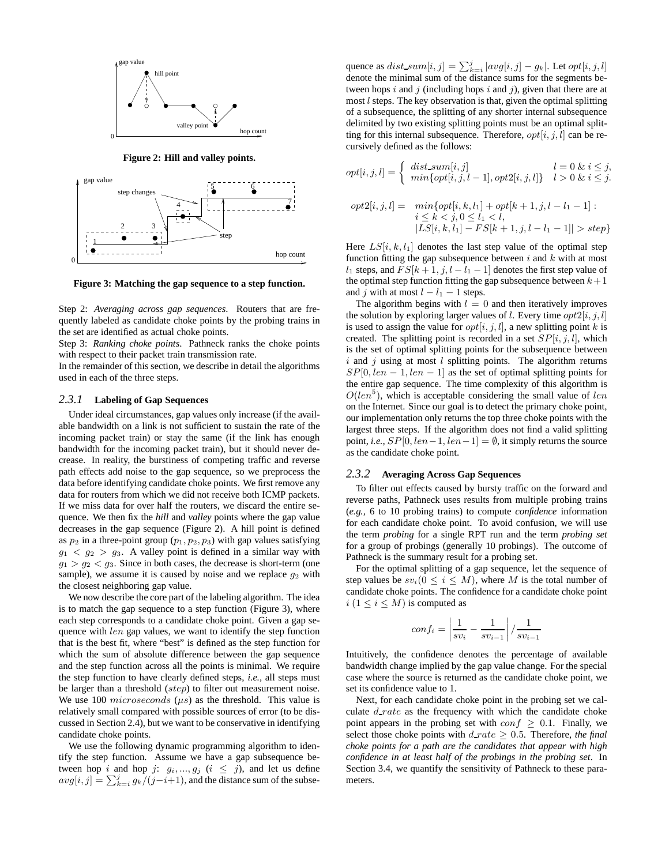

**Figure 2: Hill and valley points.**



**Figure 3: Matching the gap sequence to a step function.**

Step 2: *Averaging across gap sequences*. Routers that are frequently labeled as candidate choke points by the probing trains in the set are identified as actual choke points.

Step 3: *Ranking choke points*. Pathneck ranks the choke points with respect to their packet train transmission rate.

In the remainder of this section, we describe in detail the algorithms used in each of the three steps.

#### *2.3.1* **Labeling of Gap Sequences**

Under ideal circumstances, gap values only increase (if the available bandwidth on a link is not sufficient to sustain the rate of the incoming packet train) or stay the same (if the link has enough bandwidth for the incoming packet train), but it should never decrease. In reality, the burstiness of competing traffic and reverse path effects add noise to the gap sequence, so we preprocess the data before identifying candidate choke points. We first remove any data for routers from which we did not receive both ICMP packets. If we miss data for over half the routers, we discard the entire sequence. We then fix the *hill* and *valley* points where the gap value decreases in the gap sequence (Figure 2). A hill point is defined as  $p_2$  in a three-point group  $(p_1, p_2, p_3)$  with gap values satisfying  $g_1 < g_2 > g_3$ . A valley point is defined in a similar way with  $g_1 > g_2 < g_3$ . Since in both cases, the decrease is short-term (one sample), we assume it is caused by noise and we replace  $g_2$  with the closest neighboring gap value.

We now describe the core part of the labeling algorithm. The idea is to match the gap sequence to a step function (Figure 3), where each step corresponds to a candidate choke point. Given a gap sequence with *len* gap values, we want to identify the step function that is the best fit, where "best" is defined as the step function for which the sum of absolute difference between the gap sequence and the step function across all the points is minimal. We require the step function to have clearly defined steps, *i.e.,* all steps must be larger than a threshold (step) to filter out measurement noise. We use 100 microseconds  $(\mu s)$  as the threshold. This value is relatively small compared with possible sources of error (to be discussed in Section 2.4), but we want to be conservative in identifying candidate choke points.

We use the following dynamic programming algorithm to identify the step function. Assume we have a gap subsequence between hop i and hop j:  $g_i, ..., g_j$  ( $i \leq j$ ), and let us define  $avg[i, j] = \sum_{k=i}^{j} g_k/(j-i+1)$ , and the distance sum of the subse-

quence as  $dist\_sum[i, j] = \sum_{k=i}^{j} |avg[i, j] - g_k|$ . Let  $opt[i, j, l]$ denote the minimal sum of the distance sums for the segments between hops  $i$  and  $j$  (including hops  $i$  and  $j$ ), given that there are at most  $l$  steps. The key observation is that, given the optimal splitting of a subsequence, the splitting of any shorter internal subsequence delimited by two existing splitting points must be an optimal splitting for this internal subsequence. Therefore,  $opt[i, j, l]$  can be recursively defined as the follows:

$$
opt[i, j, l] = \begin{cases} dist\_sum[i, j] & l = 0 \& i \leq j, \\ min\{opt[i, j, l-1], opt2[i, j, l]\} & l > 0 \& i \leq j. \end{cases}
$$

$$
opt2[i, j, l] = min\{opt[i, k, l_1] + opt[k+1, j, l-l_1-1]:
$$
  

$$
i \le k < j, 0 \le l_1 < l,
$$
  

$$
|LS[i, k, l_1] - FS[k+1, j, l-l_1-1]| > step\}
$$

Here  $LS[i, k, l_1]$  denotes the last step value of the optimal step function fitting the gap subsequence between  $i$  and  $k$  with at most  $l_1$  steps, and  $FS[k+1, j, l-l_1-1]$  denotes the first step value of the optimal step function fitting the gap subsequence between  $k+1$ and j with at most  $l - l_1 - 1$  steps.

The algorithm begins with  $l = 0$  and then iteratively improves the solution by exploring larger values of l. Every time  $opt2[i, j, l]$ is used to assign the value for  $opt[i, j, l]$ , a new splitting point k is created. The splitting point is recorded in a set  $SP[i, j, l]$ , which is the set of optimal splitting points for the subsequence between  $i$  and  $j$  using at most  $l$  splitting points. The algorithm returns  $SP[0, len - 1, len - 1]$  as the set of optimal splitting points for the entire gap sequence. The time complexity of this algorithm is  $O(len^5)$ , which is acceptable considering the small value of len on the Internet. Since our goal is to detect the primary choke point, our implementation only returns the top three choke points with the largest three steps. If the algorithm does not find a valid splitting point, *i.e.*,  $SP[0, len-1, len-1] = \emptyset$ , it simply returns the source as the candidate choke point.

#### *2.3.2* **Averaging Across Gap Sequences**

To filter out effects caused by bursty traffic on the forward and reverse paths, Pathneck uses results from multiple probing trains (*e.g.,* 6 to 10 probing trains) to compute *confidence* information for each candidate choke point. To avoid confusion, we will use the term *probing* for a single RPT run and the term *probing set* for a group of probings (generally 10 probings). The outcome of Pathneck is the summary result for a probing set.

For the optimal splitting of a gap sequence, let the sequence of step values be  $sv_i(0 \le i \le M)$ , where M is the total number of candidate choke points. The confidence for a candidate choke point  $i (1 \leq i \leq M)$  is computed as

$$
conf_i = \left| \frac{1}{sv_i} - \frac{1}{sv_{i-1}} \right| / \frac{1}{sv_{i-1}}
$$

Intuitively, the confidence denotes the percentage of available bandwidth change implied by the gap value change. For the special case where the source is returned as the candidate choke point, we set its confidence value to 1.

Next, for each candidate choke point in the probing set we calculate d rate as the frequency with which the candidate choke point appears in the probing set with  $conf \geq 0.1$ . Finally, we select those choke points with  $d_rate \geq 0.5$ . Therefore, *the final choke points for a path are the candidates that appear with high confidence in at least half of the probings in the probing set*. In Section 3.4, we quantify the sensitivity of Pathneck to these parameters.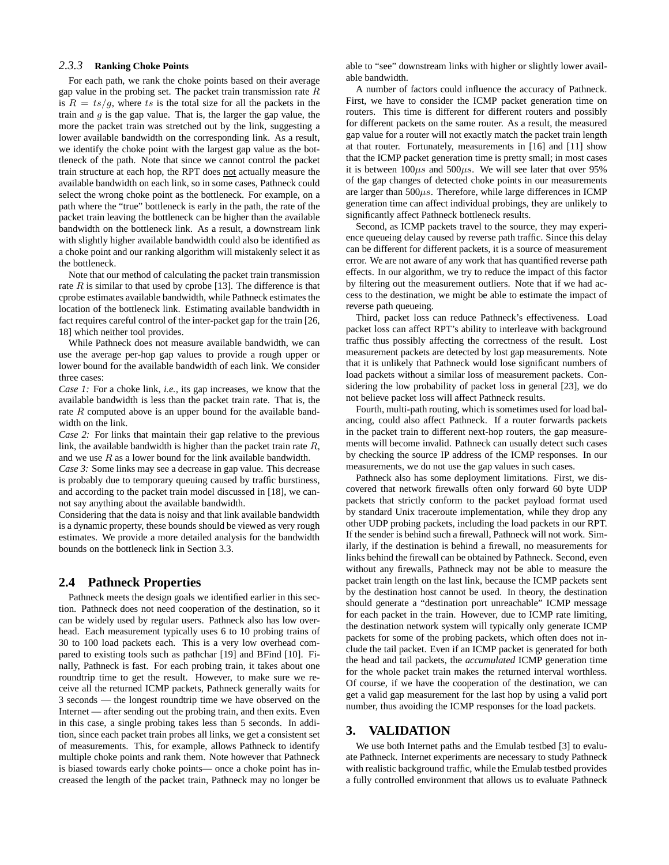#### *2.3.3* **Ranking Choke Points**

For each path, we rank the choke points based on their average gap value in the probing set. The packet train transmission rate  $R$ is  $R = ts/g$ , where ts is the total size for all the packets in the train and  $g$  is the gap value. That is, the larger the gap value, the more the packet train was stretched out by the link, suggesting a lower available bandwidth on the corresponding link. As a result, we identify the choke point with the largest gap value as the bottleneck of the path. Note that since we cannot control the packet train structure at each hop, the RPT does not actually measure the available bandwidth on each link, so in some cases, Pathneck could select the wrong choke point as the bottleneck. For example, on a path where the "true" bottleneck is early in the path, the rate of the packet train leaving the bottleneck can be higher than the available bandwidth on the bottleneck link. As a result, a downstream link with slightly higher available bandwidth could also be identified as a choke point and our ranking algorithm will mistakenly select it as the bottleneck.

Note that our method of calculating the packet train transmission rate  $R$  is similar to that used by cprobe [13]. The difference is that cprobe estimates available bandwidth, while Pathneck estimates the location of the bottleneck link. Estimating available bandwidth in fact requires careful control of the inter-packet gap for the train [26, 18] which neither tool provides.

While Pathneck does not measure available bandwidth, we can use the average per-hop gap values to provide a rough upper or lower bound for the available bandwidth of each link. We consider three cases:

*Case 1:* For a choke link, *i.e.,* its gap increases, we know that the available bandwidth is less than the packet train rate. That is, the rate R computed above is an upper bound for the available bandwidth on the link.

*Case 2:* For links that maintain their gap relative to the previous link, the available bandwidth is higher than the packet train rate  $R$ , and we use  $R$  as a lower bound for the link available bandwidth. *Case 3:* Some links may see a decrease in gap value. This decrease is probably due to temporary queuing caused by traffic burstiness,

and according to the packet train model discussed in [18], we cannot say anything about the available bandwidth.

Considering that the data is noisy and that link available bandwidth is a dynamic property, these bounds should be viewed as very rough estimates. We provide a more detailed analysis for the bandwidth bounds on the bottleneck link in Section 3.3.

## **2.4 Pathneck Properties**

Pathneck meets the design goals we identified earlier in this section. Pathneck does not need cooperation of the destination, so it can be widely used by regular users. Pathneck also has low overhead. Each measurement typically uses 6 to 10 probing trains of 30 to 100 load packets each. This is a very low overhead compared to existing tools such as pathchar [19] and BFind [10]. Finally, Pathneck is fast. For each probing train, it takes about one roundtrip time to get the result. However, to make sure we receive all the returned ICMP packets, Pathneck generally waits for 3 seconds — the longest roundtrip time we have observed on the Internet — after sending out the probing train, and then exits. Even in this case, a single probing takes less than 5 seconds. In addition, since each packet train probes all links, we get a consistent set of measurements. This, for example, allows Pathneck to identify multiple choke points and rank them. Note however that Pathneck is biased towards early choke points— once a choke point has increased the length of the packet train, Pathneck may no longer be

able to "see" downstream links with higher or slightly lower available bandwidth.

A number of factors could influence the accuracy of Pathneck. First, we have to consider the ICMP packet generation time on routers. This time is different for different routers and possibly for different packets on the same router. As a result, the measured gap value for a router will not exactly match the packet train length at that router. Fortunately, measurements in [16] and [11] show that the ICMP packet generation time is pretty small; in most cases it is between  $100\mu s$  and  $500\mu s$ . We will see later that over 95% of the gap changes of detected choke points in our measurements are larger than  $500\mu s$ . Therefore, while large differences in ICMP generation time can affect individual probings, they are unlikely to significantly affect Pathneck bottleneck results.

Second, as ICMP packets travel to the source, they may experience queueing delay caused by reverse path traffic. Since this delay can be different for different packets, it is a source of measurement error. We are not aware of any work that has quantified reverse path effects. In our algorithm, we try to reduce the impact of this factor by filtering out the measurement outliers. Note that if we had access to the destination, we might be able to estimate the impact of reverse path queueing.

Third, packet loss can reduce Pathneck's effectiveness. Load packet loss can affect RPT's ability to interleave with background traffic thus possibly affecting the correctness of the result. Lost measurement packets are detected by lost gap measurements. Note that it is unlikely that Pathneck would lose significant numbers of load packets without a similar loss of measurement packets. Considering the low probability of packet loss in general [23], we do not believe packet loss will affect Pathneck results.

Fourth, multi-path routing, which is sometimes used for load balancing, could also affect Pathneck. If a router forwards packets in the packet train to different next-hop routers, the gap measurements will become invalid. Pathneck can usually detect such cases by checking the source IP address of the ICMP responses. In our measurements, we do not use the gap values in such cases.

Pathneck also has some deployment limitations. First, we discovered that network firewalls often only forward 60 byte UDP packets that strictly conform to the packet payload format used by standard Unix traceroute implementation, while they drop any other UDP probing packets, including the load packets in our RPT. If the sender is behind such a firewall, Pathneck will not work. Similarly, if the destination is behind a firewall, no measurements for links behind the firewall can be obtained by Pathneck. Second, even without any firewalls, Pathneck may not be able to measure the packet train length on the last link, because the ICMP packets sent by the destination host cannot be used. In theory, the destination should generate a "destination port unreachable" ICMP message for each packet in the train. However, due to ICMP rate limiting, the destination network system will typically only generate ICMP packets for some of the probing packets, which often does not include the tail packet. Even if an ICMP packet is generated for both the head and tail packets, the *accumulated* ICMP generation time for the whole packet train makes the returned interval worthless. Of course, if we have the cooperation of the destination, we can get a valid gap measurement for the last hop by using a valid port number, thus avoiding the ICMP responses for the load packets.

# **3. VALIDATION**

We use both Internet paths and the Emulab testbed [3] to evaluate Pathneck. Internet experiments are necessary to study Pathneck with realistic background traffic, while the Emulab testbed provides a fully controlled environment that allows us to evaluate Pathneck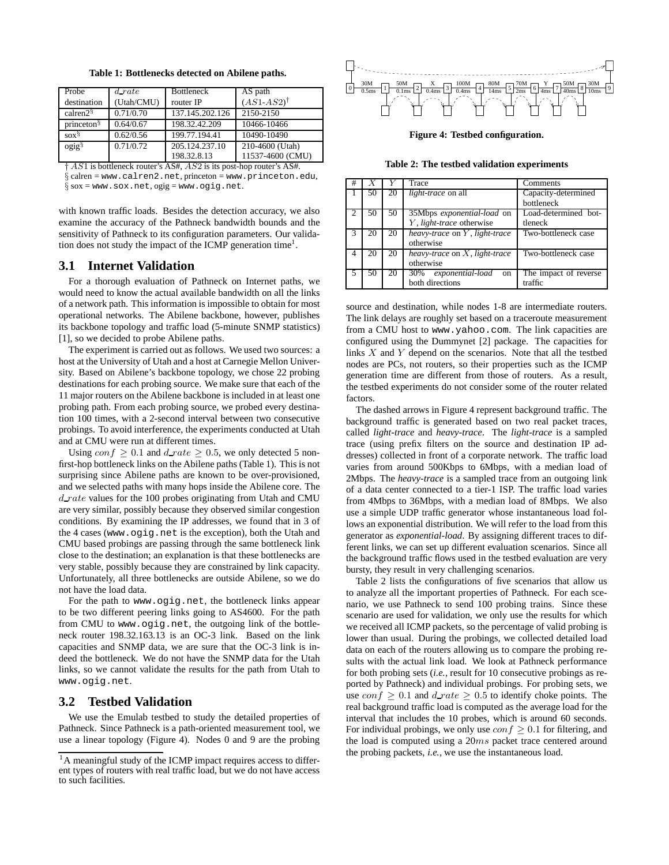|  | Table 1: Bottlenecks detected on Abilene paths. |  |  |  |
|--|-------------------------------------------------|--|--|--|
|--|-------------------------------------------------|--|--|--|

| Probe                  | $d$ rate   | <b>Bottleneck</b> | AS path               |
|------------------------|------------|-------------------|-----------------------|
| destination            | (Utah/CMU) | router IP         | $(AS1-AS2)^{\dagger}$ |
| $cal2^{\S}$            | 0.71/0.70  | 137.145.202.126   | 2150-2150             |
| princeton <sup>§</sup> | 0.64/0.67  | 198.32.42.209     | 10466-10466           |
| $s\alpha\delta$        | 0.62/0.56  | 199.77.194.41     | 10490-10490           |
| $\text{ogig}^8$        | 0.71/0.72  | 205.124.237.10    | 210-4600 (Utah)       |
|                        |            | 198.32.8.13       | 11537-4600 (CMU)      |

† AS1 is bottleneck router's AS#, AS2 is its post-hop router's AS#.

§ calren = www.calren2.net, princeton = www.princeton.edu,  $\S$  sox = www.sox.net, ogig = www.ogig.net.

with known traffic loads. Besides the detection accuracy, we also examine the accuracy of the Pathneck bandwidth bounds and the sensitivity of Pathneck to its configuration parameters. Our validation does not study the impact of the ICMP generation time<sup>1</sup>.

# **3.1 Internet Validation**

For a thorough evaluation of Pathneck on Internet paths, we would need to know the actual available bandwidth on all the links of a network path. This information is impossible to obtain for most operational networks. The Abilene backbone, however, publishes its backbone topology and traffic load (5-minute SNMP statistics) [1], so we decided to probe Abilene paths.

The experiment is carried out as follows. We used two sources: a host at the University of Utah and a host at Carnegie Mellon University. Based on Abilene's backbone topology, we chose 22 probing destinations for each probing source. We make sure that each of the 11 major routers on the Abilene backbone is included in at least one probing path. From each probing source, we probed every destination 100 times, with a 2-second interval between two consecutive probings. To avoid interference, the experiments conducted at Utah and at CMU were run at different times.

Using  $conf > 0.1$  and  $d_rate > 0.5$ , we only detected 5 nonfirst-hop bottleneck links on the Abilene paths (Table 1). This is not surprising since Abilene paths are known to be over-provisioned, and we selected paths with many hops inside the Abilene core. The  $d_rate$  values for the 100 probes originating from Utah and CMU are very similar, possibly because they observed similar congestion conditions. By examining the IP addresses, we found that in 3 of the 4 cases (www.ogig.net is the exception), both the Utah and CMU based probings are passing through the same bottleneck link close to the destination; an explanation is that these bottlenecks are very stable, possibly because they are constrained by link capacity. Unfortunately, all three bottlenecks are outside Abilene, so we do not have the load data.

For the path to www.ogig.net, the bottleneck links appear to be two different peering links going to AS4600. For the path from CMU to www.ogig.net, the outgoing link of the bottleneck router 198.32.163.13 is an OC-3 link. Based on the link capacities and SNMP data, we are sure that the OC-3 link is indeed the bottleneck. We do not have the SNMP data for the Utah links, so we cannot validate the results for the path from Utah to www.ogig.net.

# **3.2 Testbed Validation**

We use the Emulab testbed to study the detailed properties of Pathneck. Since Pathneck is a path-oriented measurement tool, we use a linear topology (Figure 4). Nodes 0 and 9 are the probing



**Figure 4: Testbed configuration.**

**Table 2: The testbed validation experiments**

| #             |    |    | Trace                                       | Comments              |
|---------------|----|----|---------------------------------------------|-----------------------|
|               | 50 | 20 | <i>light-trace</i> on all                   | Capacity-determined   |
|               |    |    |                                             | bottleneck            |
| $\mathcal{D}$ | 50 | 50 | 35Mbps exponential-load on                  | Load-determined bot-  |
|               |    |    | Y, light-trace otherwise                    | tleneck               |
| 3             | 20 | 20 | heavy-trace on $Y$ , light-trace            | Two-bottleneck case   |
|               |    |    | otherwise                                   |                       |
| 4             | 20 | 20 | heavy-trace on $\overline{X}$ , light-trace | Two-bottleneck case   |
|               |    |    | otherwise                                   |                       |
|               | 50 | 20 | exponential-load<br>30%<br>on               | The impact of reverse |
|               |    |    | both directions                             | traffic               |

source and destination, while nodes 1-8 are intermediate routers. The link delays are roughly set based on a traceroute measurement from a CMU host to www.yahoo.com. The link capacities are configured using the Dummynet [2] package. The capacities for links  $X$  and  $Y$  depend on the scenarios. Note that all the testbed nodes are PCs, not routers, so their properties such as the ICMP generation time are different from those of routers. As a result, the testbed experiments do not consider some of the router related factors.

The dashed arrows in Figure 4 represent background traffic. The background traffic is generated based on two real packet traces, called *light-trace* and *heavy-trace*. The *light-trace* is a sampled trace (using prefix filters on the source and destination IP addresses) collected in front of a corporate network. The traffic load varies from around 500Kbps to 6Mbps, with a median load of 2Mbps. The *heavy-trace* is a sampled trace from an outgoing link of a data center connected to a tier-1 ISP. The traffic load varies from 4Mbps to 36Mbps, with a median load of 8Mbps. We also use a simple UDP traffic generator whose instantaneous load follows an exponential distribution. We will refer to the load from this generator as *exponential-load*. By assigning different traces to different links, we can set up different evaluation scenarios. Since all the background traffic flows used in the testbed evaluation are very bursty, they result in very challenging scenarios.

Table 2 lists the configurations of five scenarios that allow us to analyze all the important properties of Pathneck. For each scenario, we use Pathneck to send 100 probing trains. Since these scenario are used for validation, we only use the results for which we received all ICMP packets, so the percentage of valid probing is lower than usual. During the probings, we collected detailed load data on each of the routers allowing us to compare the probing results with the actual link load. We look at Pathneck performance for both probing sets (*i.e.,* result for 10 consecutive probings as reported by Pathneck) and individual probings. For probing sets, we use  $conf \geq 0.1$  and  $d_rate \geq 0.5$  to identify choke points. The real background traffic load is computed as the average load for the interval that includes the 10 probes, which is around 60 seconds. For individual probings, we only use  $conf \geq 0.1$  for filtering, and the load is computed using a 20ms packet trace centered around the probing packets, *i.e.,* we use the instantaneous load.

 $<sup>1</sup>A$  meaningful study of the ICMP impact requires access to differ-</sup> ent types of routers with real traffic load, but we do not have access to such facilities.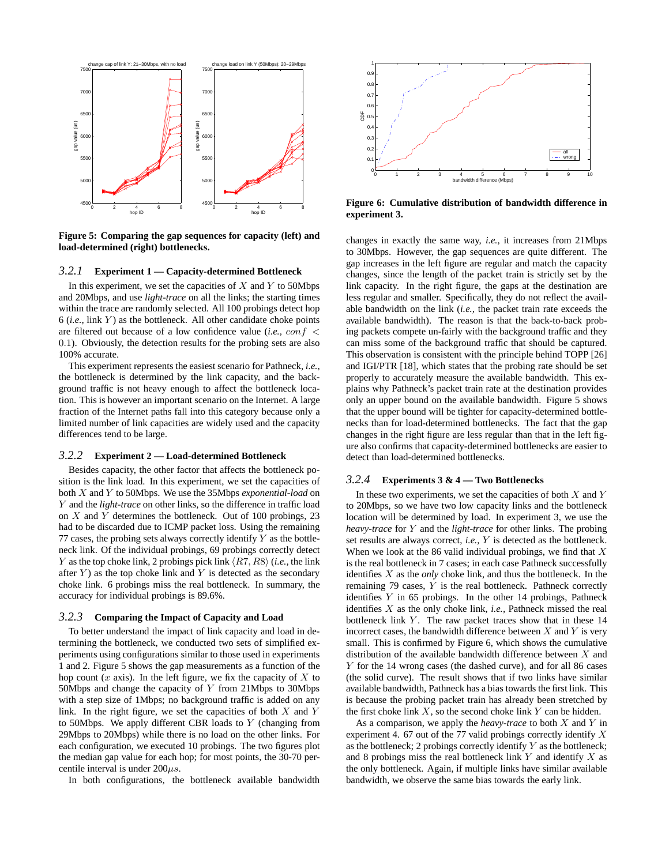

**Figure 5: Comparing the gap sequences for capacity (left) and load-determined (right) bottlenecks.**

#### *3.2.1* **Experiment 1 — Capacity-determined Bottleneck**

In this experiment, we set the capacities of  $X$  and  $Y$  to 50Mbps and 20Mbps, and use *light-trace* on all the links; the starting times within the trace are randomly selected. All 100 probings detect hop  $6$  (*i.e.*, link  $Y$ ) as the bottleneck. All other candidate choke points are filtered out because of a low confidence value (*i.e.*,  $\text{conf}$  < 0.1). Obviously, the detection results for the probing sets are also 100% accurate.

This experiment represents the easiest scenario for Pathneck, *i.e.,* the bottleneck is determined by the link capacity, and the background traffic is not heavy enough to affect the bottleneck location. This is however an important scenario on the Internet. A large fraction of the Internet paths fall into this category because only a limited number of link capacities are widely used and the capacity differences tend to be large.

#### *3.2.2* **Experiment 2 — Load-determined Bottleneck**

Besides capacity, the other factor that affects the bottleneck position is the link load. In this experiment, we set the capacities of both X and Y to 50Mbps. We use the 35Mbps *exponential-load* on Y and the *light-trace* on other links, so the difference in traffic load on  $X$  and  $Y$  determines the bottleneck. Out of 100 probings, 23 had to be discarded due to ICMP packet loss. Using the remaining 77 cases, the probing sets always correctly identify  $Y$  as the bottleneck link. Of the individual probings, 69 probings correctly detect Y as the top choke link, 2 probings pick link  $\langle R7, R8 \rangle$  (*i.e.*, the link after  $Y$ ) as the top choke link and Y is detected as the secondary choke link. 6 probings miss the real bottleneck. In summary, the accuracy for individual probings is 89.6%.

#### *3.2.3* **Comparing the Impact of Capacity and Load**

To better understand the impact of link capacity and load in determining the bottleneck, we conducted two sets of simplified experiments using configurations similar to those used in experiments 1 and 2. Figure 5 shows the gap measurements as a function of the hop count (x axis). In the left figure, we fix the capacity of  $X$  to 50Mbps and change the capacity of Y from 21Mbps to 30Mbps with a step size of 1Mbps; no background traffic is added on any link. In the right figure, we set the capacities of both  $X$  and  $Y$ to 50Mbps. We apply different CBR loads to  $Y$  (changing from 29Mbps to 20Mbps) while there is no load on the other links. For each configuration, we executed 10 probings. The two figures plot the median gap value for each hop; for most points, the 30-70 percentile interval is under  $200\mu s$ .

In both configurations, the bottleneck available bandwidth



**Figure 6: Cumulative distribution of bandwidth difference in experiment 3.**

changes in exactly the same way, *i.e.,* it increases from 21Mbps to 30Mbps. However, the gap sequences are quite different. The gap increases in the left figure are regular and match the capacity changes, since the length of the packet train is strictly set by the link capacity. In the right figure, the gaps at the destination are less regular and smaller. Specifically, they do not reflect the available bandwidth on the link (*i.e.,* the packet train rate exceeds the available bandwidth). The reason is that the back-to-back probing packets compete un-fairly with the background traffic and they can miss some of the background traffic that should be captured. This observation is consistent with the principle behind TOPP [26] and IGI/PTR [18], which states that the probing rate should be set properly to accurately measure the available bandwidth. This explains why Pathneck's packet train rate at the destination provides only an upper bound on the available bandwidth. Figure 5 shows that the upper bound will be tighter for capacity-determined bottlenecks than for load-determined bottlenecks. The fact that the gap changes in the right figure are less regular than that in the left figure also confirms that capacity-determined bottlenecks are easier to detect than load-determined bottlenecks.

#### *3.2.4* **Experiments 3 & 4 — Two Bottlenecks**

In these two experiments, we set the capacities of both  $X$  and  $Y$ to 20Mbps, so we have two low capacity links and the bottleneck location will be determined by load. In experiment 3, we use the *heavy-trace* for Y and the *light-trace* for other links. The probing set results are always correct, *i.e.,* Y is detected as the bottleneck. When we look at the 86 valid individual probings, we find that  $X$ is the real bottleneck in 7 cases; in each case Pathneck successfully identifies X as the *only* choke link, and thus the bottleneck. In the remaining 79 cases, Y is the real bottleneck. Pathneck correctly identifies  $Y$  in 65 probings. In the other 14 probings, Pathneck identifies X as the only choke link, *i.e.,* Pathneck missed the real bottleneck link  $Y$ . The raw packet traces show that in these  $14$ incorrect cases, the bandwidth difference between  $X$  and  $Y$  is very small. This is confirmed by Figure 6, which shows the cumulative distribution of the available bandwidth difference between X and Y for the 14 wrong cases (the dashed curve), and for all 86 cases (the solid curve). The result shows that if two links have similar available bandwidth, Pathneck has a bias towards the first link. This is because the probing packet train has already been stretched by the first choke link  $X$ , so the second choke link  $Y$  can be hidden.

As a comparison, we apply the *heavy-trace* to both X and Y in experiment 4. 67 out of the 77 valid probings correctly identify  $X$ as the bottleneck; 2 probings correctly identify  $Y$  as the bottleneck; and 8 probings miss the real bottleneck link  $Y$  and identify  $X$  as the only bottleneck. Again, if multiple links have similar available bandwidth, we observe the same bias towards the early link.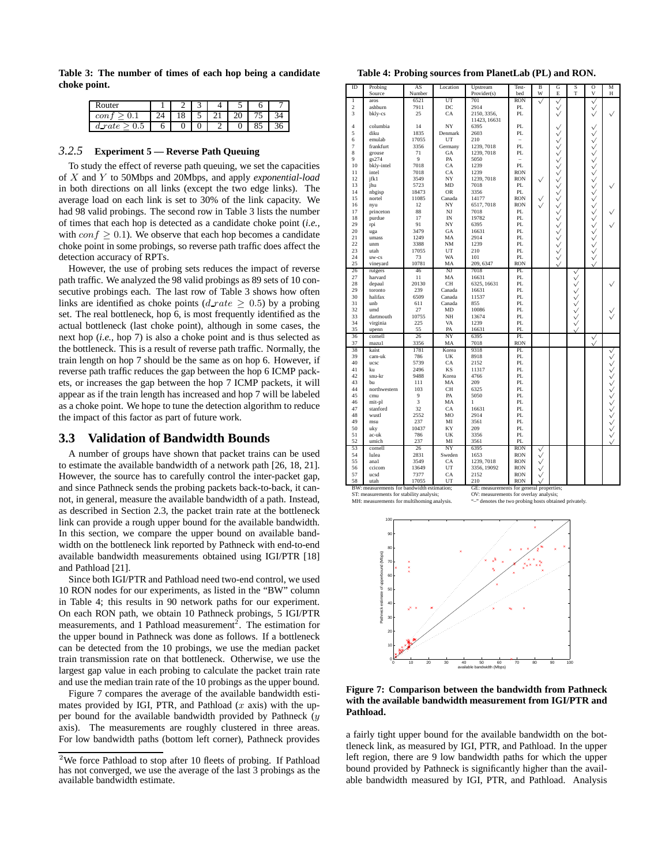**Table 3: The number of times of each hop being a candidate choke point.**

| <b>Router</b> |   |    |   | ٠ | U  | –  |
|---------------|---|----|---|---|----|----|
| con           |   | 18 |   |   |    | 34 |
| d rate<br>U.Ə | o | u  | v | U | οJ | 36 |

## *3.2.5* **Experiment 5 — Reverse Path Queuing**

To study the effect of reverse path queuing, we set the capacities of X and Y to 50Mbps and 20Mbps, and apply *exponential-load* in both directions on all links (except the two edge links). The average load on each link is set to 30% of the link capacity. We had 98 valid probings. The second row in Table 3 lists the number of times that each hop is detected as a candidate choke point (*i.e.,* with  $conf \geq 0.1$ ). We observe that each hop becomes a candidate choke point in some probings, so reverse path traffic does affect the detection accuracy of RPTs.

However, the use of probing sets reduces the impact of reverse path traffic. We analyzed the 98 valid probings as 89 sets of 10 consecutive probings each. The last row of Table 3 shows how often links are identified as choke points  $(d_rate > 0.5)$  by a probing set. The real bottleneck, hop 6, is most frequently identified as the actual bottleneck (last choke point), although in some cases, the next hop (*i.e.,* hop 7) is also a choke point and is thus selected as the bottleneck. This is a result of reverse path traffic. Normally, the train length on hop 7 should be the same as on hop 6. However, if reverse path traffic reduces the gap between the hop 6 ICMP packets, or increases the gap between the hop 7 ICMP packets, it will appear as if the train length has increased and hop 7 will be labeled as a choke point. We hope to tune the detection algorithm to reduce the impact of this factor as part of future work.

# **3.3 Validation of Bandwidth Bounds**

A number of groups have shown that packet trains can be used to estimate the available bandwidth of a network path [26, 18, 21]. However, the source has to carefully control the inter-packet gap, and since Pathneck sends the probing packets back-to-back, it cannot, in general, measure the available bandwidth of a path. Instead, as described in Section 2.3, the packet train rate at the bottleneck link can provide a rough upper bound for the available bandwidth. In this section, we compare the upper bound on available bandwidth on the bottleneck link reported by Pathneck with end-to-end available bandwidth measurements obtained using IGI/PTR [18] and Pathload [21].

Since both IGI/PTR and Pathload need two-end control, we used 10 RON nodes for our experiments, as listed in the "BW" column in Table 4; this results in 90 network paths for our experiment. On each RON path, we obtain 10 Pathneck probings, 5 IGI/PTR measurements, and 1 Pathload measurement<sup>2</sup>. The estimation for the upper bound in Pathneck was done as follows. If a bottleneck can be detected from the 10 probings, we use the median packet train transmission rate on that bottleneck. Otherwise, we use the largest gap value in each probing to calculate the packet train rate and use the median train rate of the 10 probings as the upper bound.

Figure 7 compares the average of the available bandwidth estimates provided by IGI, PTR, and Pathload  $(x \text{ axis})$  with the upper bound for the available bandwidth provided by Pathneck  $(y$ axis). The measurements are roughly clustered in three areas. For low bandwidth paths (bottom left corner), Pathneck provides

**Table 4: Probing sources from PlanetLab (PL) and RON.**

| ID                  | Probing      | AS     | Location  | Upstream     | Test-      | B            | G                        | S         | O                          | M          |
|---------------------|--------------|--------|-----------|--------------|------------|--------------|--------------------------|-----------|----------------------------|------------|
|                     | Source       | Number |           | Provider(s)  | bed        | W            | E                        | T         | V                          | H          |
| 1                   | aros         | 6521   | UT        | 701          | <b>RON</b> |              | $\sqrt{}$                |           | ▽                          |            |
| $\overline{2}$      | ashburn      | 7911   | DC        | 2914         | PL         |              | $\checkmark$             |           | $\checkmark$               |            |
| 3                   | bkly-cs      | 25     | CA        | 2150, 3356,  | PL         |              | $\checkmark$             |           | $\checkmark$               |            |
|                     |              |        |           | 11423, 16631 |            |              |                          |           |                            |            |
| $\overline{4}$      | columbia     | 14     | NY        | 6395         | PL         |              |                          |           |                            |            |
| 5                   | diku         | 1835   | Denmark   | 2603         | PL.        |              | $\checkmark$             |           |                            |            |
|                     |              |        | UT        |              |            |              |                          |           |                            |            |
| 6<br>$\overline{7}$ | emulab       | 17055  |           | 210          |            |              |                          |           |                            |            |
|                     | frankfurt    | 3356   | Germany   | 1239, 7018   | PL         |              |                          |           |                            |            |
| 8                   | grouse       | 71     | GA        | 1239, 7018   | PL         |              |                          |           |                            |            |
| 9                   | gs274        | 9      | PA        | 5050         |            |              | へへへへへへへへへんへんへんへんへんへんへんへん |           | くへんへんへん へんへん くんへんへんへん へんへん |            |
| 10                  | bkly-intel   | 7018   | CA        | 1239         | PL         |              |                          |           |                            |            |
| 11                  | intel        | 7018   | CA        | 1239         | <b>RON</b> |              |                          |           |                            |            |
| 12                  | jfk1         | 3549   | NY        | 1239, 7018   | <b>RON</b> | $\checkmark$ |                          |           |                            |            |
| 13                  | jhu          | 5723   | MD        | 7018         | PL.        |              |                          |           |                            |            |
| 14                  | nbgisp       | 18473  | <b>OR</b> | 3356         | PL         |              |                          |           |                            |            |
| 15                  | nortel       | 11085  | Canada    | 14177        | RON        | $\checkmark$ |                          |           |                            |            |
| 16                  | nyu          | 12     | NY        | 6517, 7018   | <b>RON</b> |              |                          |           |                            |            |
| 17                  | princeton    | 88     | NJ        | 7018         | PL.        |              |                          |           |                            |            |
| 18                  | purdue       | 17     | IN        | 19782        | PL         |              |                          |           |                            |            |
| 29                  | rpi          | 91     | NY        | 6395         | PL         |              |                          |           |                            |            |
| 20                  | uga          | 3479   | GA        | 16631        | PL         |              |                          |           |                            |            |
| 21                  | umass        | 1249   | MA        | 2914         | PL         |              |                          |           |                            |            |
| 22                  | unm          | 3388   | NM        | 1239         | PL         |              |                          |           |                            |            |
| 23                  |              |        | UT        |              | PL.        |              |                          |           |                            |            |
|                     | utah         | 17055  |           | 210          |            |              |                          |           |                            |            |
| 24                  | $uw-cs$      | 73     | WA        | 101          | PL         |              |                          |           |                            |            |
| 25                  | vineyard     | 10781  | MA        | 209, 6347    | <b>RON</b> |              |                          |           |                            |            |
| 26                  | rutgers      | 46     | NJ        | 7018         | PL.        |              |                          |           |                            |            |
| 27                  | harvard      | 11     | MA        | 16631        | PL         |              |                          |           |                            |            |
| 28                  | depaul       | 20130  | <b>CH</b> | 6325, 16631  | PL.        |              |                          |           |                            |            |
| 29                  | toronto      | 239    | Canada    | 16631        | PL         |              |                          |           |                            |            |
| 30                  | halifax      | 6509   | Canada    | 11537        | PL         |              |                          |           |                            |            |
| 31                  | unb          | 611    | Canada    | 855          | PL         |              |                          |           |                            |            |
| 32                  | umd          | 27     | MD        | 10086        | PL.        |              |                          |           |                            |            |
| 33                  | dartmouth    | 10755  | NH        | 13674        | PL.        |              |                          |           |                            |            |
| 34                  | virginia     | 225    | VA        | 1239         | PL         |              |                          | >>>>>>>>> |                            |            |
| 35                  | upenn        | 55     | PA        | 16631        | PL         |              |                          |           |                            |            |
| 36                  | cornell      | 26     | NY        | 6395         | PL.        |              |                          |           | $\checkmark$               |            |
| 37                  | mazu1        | 3356   | MA        | 7018         | <b>RON</b> |              |                          |           | $\checkmark$               |            |
| 38                  | kaist        | 1781   | Korea     | 9318         | PL         |              |                          |           |                            |            |
| 39                  | cam-uk       | 786    | UK        | 8918         | PL         |              |                          |           |                            |            |
| 40                  | ucsc         | 5739   | CA        | 2152         | PL.        |              |                          |           |                            |            |
| 41                  | ku           | 2496   | <b>KS</b> | 11317        | PL         |              |                          |           |                            |            |
| 42                  | snu-kr       | 9488   | Korea     | 4766         | PL         |              |                          |           |                            |            |
| 43                  | hu           | 111    | MA        | 209          | PL         |              |                          |           |                            |            |
| 44                  | northwestern | 103    | CH        | 6325         | PL.        |              |                          |           |                            |            |
| 45                  |              | 9      | PA        | 5050         | PL.        |              |                          |           |                            |            |
|                     | cmu          |        |           |              |            |              |                          |           |                            |            |
| 46                  | mit-pl       | 3      | MA        | 1            | PL.        |              |                          |           |                            |            |
| 47                  | stanford     | 32     | CA        | 16631        | PL.        |              |                          |           |                            |            |
| 48                  | wustl        | 2552   | MO        | 2914         | PL.        |              |                          |           |                            |            |
| 49                  | msu          | 237    | MI        | 3561         | PL.        |              |                          |           |                            |            |
| 50                  | uky          | 10437  | KY        | 209          | PL         |              |                          |           |                            | へへへへへへへくくい |
| 51                  | ac-uk        | 786    | UK        | 3356         | PL         |              |                          |           |                            |            |
| 52                  | umich        | 237    | MI        | 3561         | PL         |              |                          |           |                            |            |
| 53                  | cornell      | 26     | NY        | 6395         | <b>RON</b> | $\checkmark$ |                          |           |                            |            |
| 54                  | lulea        | 2831   | Sweden    | 1653         | <b>RON</b> | $\checkmark$ |                          |           |                            |            |
| 55                  | ana1         | 3549   | CA        | 1239, 7018   | <b>RON</b> | $\checkmark$ |                          |           |                            |            |
| 56                  | ccicom       | 13649  | UT        | 3356, 19092  | <b>RON</b> |              |                          |           |                            |            |
| 57                  | ucsd         | 7377   | CA        | 2152         | <b>RON</b> | V<br>V       |                          |           |                            |            |
| 58                  | utah         | 17055  | UT        | 210          | <b>RON</b> |              |                          |           |                            |            |

BW: measurements for bandwidth estimation; GE: measurements for general properties; ST: measurements for stability analysis; OV: measurements for overlay analysis;

MH: measurements for multihoming analysis. "<sup>---</sup> denotes the two probing hosts obtained privately."



**Figure 7: Comparison between the bandwidth from Pathneck with the available bandwidth measurement from IGI/PTR and Pathload.**

a fairly tight upper bound for the available bandwidth on the bottleneck link, as measured by IGI, PTR, and Pathload. In the upper left region, there are 9 low bandwidth paths for which the upper bound provided by Pathneck is significantly higher than the available bandwidth measured by IGI, PTR, and Pathload. Analysis

<sup>&</sup>lt;sup>2</sup>We force Pathload to stop after 10 fleets of probing. If Pathload has not converged, we use the average of the last 3 probings as the available bandwidth estimate.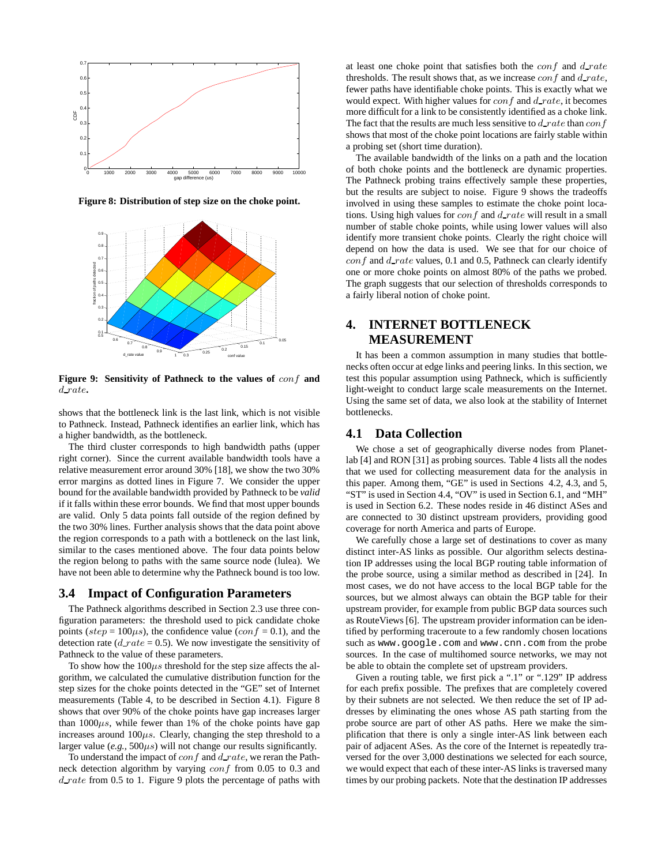

**Figure 8: Distribution of step size on the choke point.**



**Figure 9: Sensitivity of Pathneck to the values of** conf **and** d rate**.**

shows that the bottleneck link is the last link, which is not visible to Pathneck. Instead, Pathneck identifies an earlier link, which has a higher bandwidth, as the bottleneck.

The third cluster corresponds to high bandwidth paths (upper right corner). Since the current available bandwidth tools have a relative measurement error around 30% [18], we show the two 30% error margins as dotted lines in Figure 7. We consider the upper bound for the available bandwidth provided by Pathneck to be *valid* if it falls within these error bounds. We find that most upper bounds are valid. Only 5 data points fall outside of the region defined by the two 30% lines. Further analysis shows that the data point above the region corresponds to a path with a bottleneck on the last link, similar to the cases mentioned above. The four data points below the region belong to paths with the same source node (lulea). We have not been able to determine why the Pathneck bound is too low.

# **3.4 Impact of Configuration Parameters**

The Pathneck algorithms described in Section 2.3 use three configuration parameters: the threshold used to pick candidate choke points ( $step = 100\mu s$ ), the confidence value ( $conf = 0.1$ ), and the detection rate (d\_rate = 0.5). We now investigate the sensitivity of Pathneck to the value of these parameters.

To show how the  $100\mu s$  threshold for the step size affects the algorithm, we calculated the cumulative distribution function for the step sizes for the choke points detected in the "GE" set of Internet measurements (Table 4, to be described in Section 4.1). Figure 8 shows that over 90% of the choke points have gap increases larger than  $1000\mu s$ , while fewer than 1% of the choke points have gap increases around  $100\mu s$ . Clearly, changing the step threshold to a larger value (*e.g.*,  $500\mu s$ ) will not change our results significantly.

To understand the impact of  $conf$  and  $d_rate$ , we reran the Pathneck detection algorithm by varying  $conf$  from 0.05 to 0.3 and  $d_rate$  from 0.5 to 1. Figure 9 plots the percentage of paths with at least one choke point that satisfies both the  $\text{conf}$  and  $\text{d}$ -rate thresholds. The result shows that, as we increase  $\text{conf}$  and  $\text{d}_\text{rate}$ , fewer paths have identifiable choke points. This is exactly what we would expect. With higher values for  $\text{conf}$  and  $\text{d}_\text{rate}$ , it becomes more difficult for a link to be consistently identified as a choke link. The fact that the results are much less sensitive to  $d$  rate than conf shows that most of the choke point locations are fairly stable within a probing set (short time duration).

The available bandwidth of the links on a path and the location of both choke points and the bottleneck are dynamic properties. The Pathneck probing trains effectively sample these properties, but the results are subject to noise. Figure 9 shows the tradeoffs involved in using these samples to estimate the choke point locations. Using high values for  $conf$  and  $d_rate$  will result in a small number of stable choke points, while using lower values will also identify more transient choke points. Clearly the right choice will depend on how the data is used. We see that for our choice of  $\frac{\text{conf}}{\text{f}}$  and  $\frac{d \text{ rate}}{\text{a}}$  values, 0.1 and 0.5, Pathneck can clearly identify one or more choke points on almost 80% of the paths we probed. The graph suggests that our selection of thresholds corresponds to a fairly liberal notion of choke point.

# **4. INTERNET BOTTLENECK MEASUREMENT**

It has been a common assumption in many studies that bottlenecks often occur at edge links and peering links. In this section, we test this popular assumption using Pathneck, which is sufficiently light-weight to conduct large scale measurements on the Internet. Using the same set of data, we also look at the stability of Internet bottlenecks.

## **4.1 Data Collection**

We chose a set of geographically diverse nodes from Planetlab [4] and RON [31] as probing sources. Table 4 lists all the nodes that we used for collecting measurement data for the analysis in this paper. Among them, "GE" is used in Sections 4.2, 4.3, and 5, "ST" is used in Section 4.4, "OV" is used in Section 6.1, and "MH" is used in Section 6.2. These nodes reside in 46 distinct ASes and are connected to 30 distinct upstream providers, providing good coverage for north America and parts of Europe.

We carefully chose a large set of destinations to cover as many distinct inter-AS links as possible. Our algorithm selects destination IP addresses using the local BGP routing table information of the probe source, using a similar method as described in [24]. In most cases, we do not have access to the local BGP table for the sources, but we almost always can obtain the BGP table for their upstream provider, for example from public BGP data sources such as RouteViews [6]. The upstream provider information can be identified by performing traceroute to a few randomly chosen locations such as www.google.com and www.cnn.com from the probe sources. In the case of multihomed source networks, we may not be able to obtain the complete set of upstream providers.

Given a routing table, we first pick a ".1" or ".129" IP address for each prefix possible. The prefixes that are completely covered by their subnets are not selected. We then reduce the set of IP addresses by eliminating the ones whose AS path starting from the probe source are part of other AS paths. Here we make the simplification that there is only a single inter-AS link between each pair of adjacent ASes. As the core of the Internet is repeatedly traversed for the over 3,000 destinations we selected for each source, we would expect that each of these inter-AS links is traversed many times by our probing packets. Note that the destination IP addresses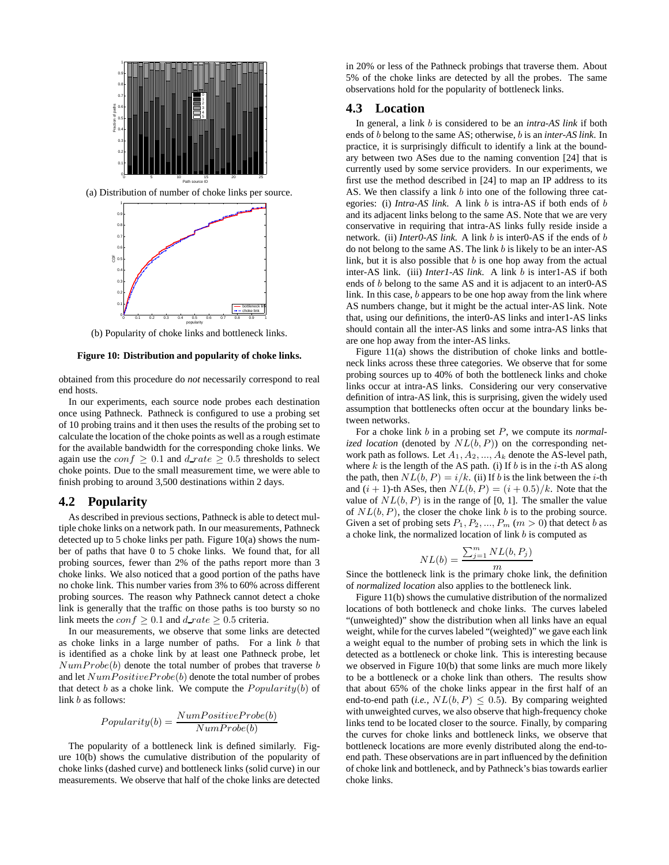

(b) Popularity of choke links and bottleneck links.

**Figure 10: Distribution and popularity of choke links.**

obtained from this procedure do *not* necessarily correspond to real end hosts.

In our experiments, each source node probes each destination once using Pathneck. Pathneck is configured to use a probing set of 10 probing trains and it then uses the results of the probing set to calculate the location of the choke points as well as a rough estimate for the available bandwidth for the corresponding choke links. We again use the  $conf \geq 0.1$  and  $d_rate \geq 0.5$  thresholds to select choke points. Due to the small measurement time, we were able to finish probing to around 3,500 destinations within 2 days.

# **4.2 Popularity**

As described in previous sections, Pathneck is able to detect multiple choke links on a network path. In our measurements, Pathneck detected up to 5 choke links per path. Figure 10(a) shows the number of paths that have 0 to 5 choke links. We found that, for all probing sources, fewer than 2% of the paths report more than 3 choke links. We also noticed that a good portion of the paths have no choke link. This number varies from 3% to 60% across different probing sources. The reason why Pathneck cannot detect a choke link is generally that the traffic on those paths is too bursty so no link meets the  $conf \geq 0.1$  and  $d_rate \geq 0.5$  criteria.

In our measurements, we observe that some links are detected as choke links in a large number of paths. For a link b that is identified as a choke link by at least one Pathneck probe, let  $NumProbe(b)$  denote the total number of probes that traverse b and let  $NumPositiveProbe(b)$  denote the total number of probes that detect b as a choke link. We compute the  $Popularity(b)$  of link b as follows:

$$
Popularity(b) = \frac{NumPositiveProbe(b)}{NumProbe(b)}
$$

The popularity of a bottleneck link is defined similarly. Figure 10(b) shows the cumulative distribution of the popularity of choke links (dashed curve) and bottleneck links (solid curve) in our measurements. We observe that half of the choke links are detected

in 20% or less of the Pathneck probings that traverse them. About 5% of the choke links are detected by all the probes. The same observations hold for the popularity of bottleneck links.

# **4.3 Location**

In general, a link b is considered to be an *intra-AS link* if both ends of b belong to the same AS; otherwise, b is an *inter-AS link*. In practice, it is surprisingly difficult to identify a link at the boundary between two ASes due to the naming convention [24] that is currently used by some service providers. In our experiments, we first use the method described in [24] to map an IP address to its AS. We then classify a link b into one of the following three categories: (i) *Intra-AS link*. A link b is intra-AS if both ends of b and its adjacent links belong to the same AS. Note that we are very conservative in requiring that intra-AS links fully reside inside a network. (ii) *Inter0-AS link.* A link b is inter0-AS if the ends of b do not belong to the same AS. The link b is likely to be an inter-AS link, but it is also possible that  $b$  is one hop away from the actual inter-AS link. (iii) *Inter1-AS link*. A link b is inter1-AS if both ends of b belong to the same AS and it is adjacent to an inter0-AS link. In this case, b appears to be one hop away from the link where AS numbers change, but it might be the actual inter-AS link. Note that, using our definitions, the inter0-AS links and inter1-AS links should contain all the inter-AS links and some intra-AS links that are one hop away from the inter-AS links.

Figure 11(a) shows the distribution of choke links and bottleneck links across these three categories. We observe that for some probing sources up to 40% of both the bottleneck links and choke links occur at intra-AS links. Considering our very conservative definition of intra-AS link, this is surprising, given the widely used assumption that bottlenecks often occur at the boundary links between networks.

For a choke link b in a probing set P, we compute its *normalized location* (denoted by  $NL(b, P)$ ) on the corresponding network path as follows. Let  $A_1, A_2, ..., A_k$  denote the AS-level path, where  $k$  is the length of the AS path. (i) If  $b$  is in the  $i$ -th AS along the path, then  $NL(b, P) = i/k$ . (ii) If b is the link between the i-th and  $(i + 1)$ -th ASes, then  $NL(b, P) = (i + 0.5)/k$ . Note that the value of  $NL(b, P)$  is in the range of [0, 1]. The smaller the value of  $NL(b, P)$ , the closer the choke link b is to the probing source. Given a set of probing sets  $P_1, P_2, ..., P_m$   $(m > 0)$  that detect b as a choke link, the normalized location of link  $b$  is computed as

$$
NL(b) = \frac{\sum_{j=1}^{m} NL(b, P_j)}{m}
$$

Since the bottleneck link is the primary choke link, the definition of *normalized location* also applies to the bottleneck link.

Figure 11(b) shows the cumulative distribution of the normalized locations of both bottleneck and choke links. The curves labeled "(unweighted)" show the distribution when all links have an equal weight, while for the curves labeled "(weighted)" we gave each link a weight equal to the number of probing sets in which the link is detected as a bottleneck or choke link. This is interesting because we observed in Figure 10(b) that some links are much more likely to be a bottleneck or a choke link than others. The results show that about 65% of the choke links appear in the first half of an end-to-end path (*i.e.*,  $NL(b, P) \leq 0.5$ ). By comparing weighted with unweighted curves, we also observe that high-frequency choke links tend to be located closer to the source. Finally, by comparing the curves for choke links and bottleneck links, we observe that bottleneck locations are more evenly distributed along the end-toend path. These observations are in part influenced by the definition of choke link and bottleneck, and by Pathneck's bias towards earlier choke links.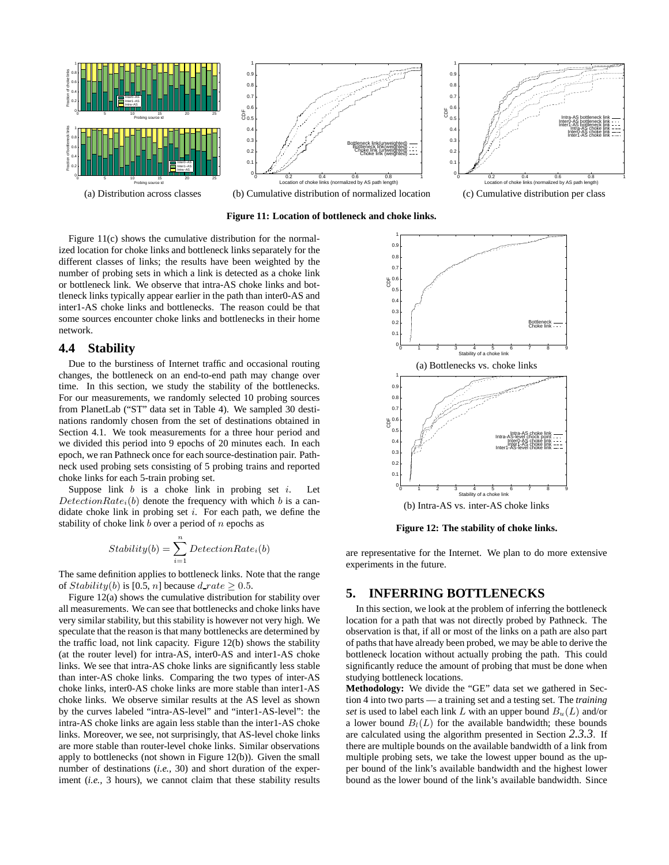

**Figure 11: Location of bottleneck and choke links.**

Figure 11(c) shows the cumulative distribution for the normalized location for choke links and bottleneck links separately for the different classes of links; the results have been weighted by the number of probing sets in which a link is detected as a choke link or bottleneck link. We observe that intra-AS choke links and bottleneck links typically appear earlier in the path than inter0-AS and inter1-AS choke links and bottlenecks. The reason could be that some sources encounter choke links and bottlenecks in their home network.

# **4.4 Stability**

Due to the burstiness of Internet traffic and occasional routing changes, the bottleneck on an end-to-end path may change over time. In this section, we study the stability of the bottlenecks. For our measurements, we randomly selected 10 probing sources from PlanetLab ("ST" data set in Table 4). We sampled 30 destinations randomly chosen from the set of destinations obtained in Section 4.1. We took measurements for a three hour period and we divided this period into 9 epochs of 20 minutes each. In each epoch, we ran Pathneck once for each source-destination pair. Pathneck used probing sets consisting of 5 probing trains and reported choke links for each 5-train probing set.

Suppose link  $b$  is a choke link in probing set  $i$ . Let  $DetectionRate<sub>i</sub>(b)$  denote the frequency with which b is a candidate choke link in probing set  $i$ . For each path, we define the stability of choke link  $b$  over a period of  $n$  epochs as

$$
Stability(b) = \sum_{i=1}^{n} DetectionRate_i(b)
$$

The same definition applies to bottleneck links. Note that the range of  $Stability(b)$  is [0.5, n] because  $d_rate \ge 0.5$ .

Figure 12(a) shows the cumulative distribution for stability over all measurements. We can see that bottlenecks and choke links have very similar stability, but this stability is however not very high. We speculate that the reason is that many bottlenecks are determined by the traffic load, not link capacity. Figure 12(b) shows the stability (at the router level) for intra-AS, inter0-AS and inter1-AS choke links. We see that intra-AS choke links are significantly less stable than inter-AS choke links. Comparing the two types of inter-AS choke links, inter0-AS choke links are more stable than inter1-AS choke links. We observe similar results at the AS level as shown by the curves labeled "intra-AS-level" and "inter1-AS-level": the intra-AS choke links are again less stable than the inter1-AS choke links. Moreover, we see, not surprisingly, that AS-level choke links are more stable than router-level choke links. Similar observations apply to bottlenecks (not shown in Figure 12(b)). Given the small number of destinations (*i.e.,* 30) and short duration of the experiment (*i.e.,* 3 hours), we cannot claim that these stability results



**Figure 12: The stability of choke links.**

are representative for the Internet. We plan to do more extensive experiments in the future.

# **5. INFERRING BOTTLENECKS**

In this section, we look at the problem of inferring the bottleneck location for a path that was not directly probed by Pathneck. The observation is that, if all or most of the links on a path are also part of paths that have already been probed, we may be able to derive the bottleneck location without actually probing the path. This could significantly reduce the amount of probing that must be done when studying bottleneck locations.

**Methodology:** We divide the "GE" data set we gathered in Section 4 into two parts — a training set and a testing set. The *training set* is used to label each link L with an upper bound  $B_u(L)$  and/or a lower bound  $B_l(L)$  for the available bandwidth; these bounds are calculated using the algorithm presented in Section *2.3.3*. If there are multiple bounds on the available bandwidth of a link from multiple probing sets, we take the lowest upper bound as the upper bound of the link's available bandwidth and the highest lower bound as the lower bound of the link's available bandwidth. Since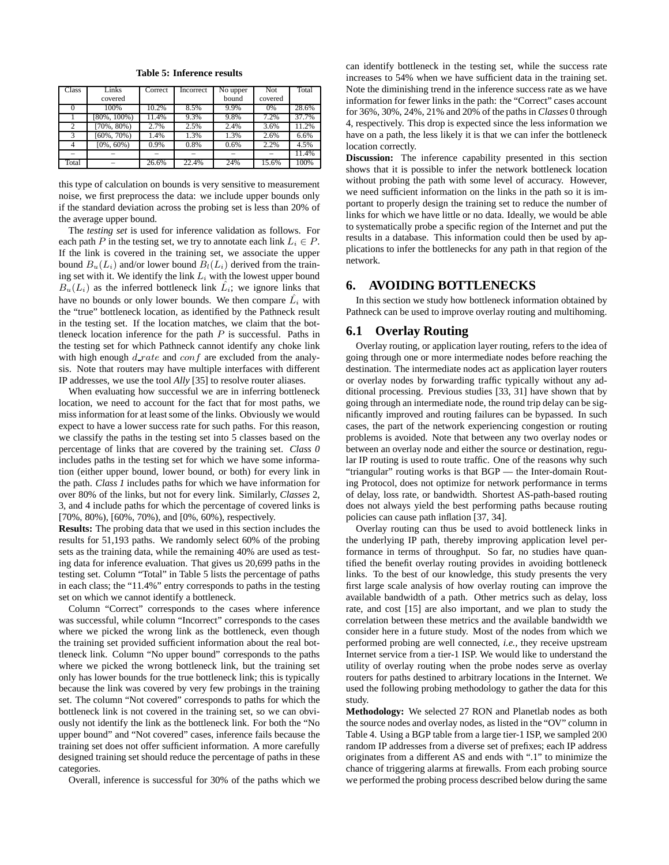| <b>Class</b>   | Links           | $\overline{\text{Correct}}$ | Incorrect | No upper | Not     | Total |
|----------------|-----------------|-----------------------------|-----------|----------|---------|-------|
|                | covered         |                             |           | bound    | covered |       |
|                | 100%            | 10.2%                       | 8.5%      | 9.9%     | 0%      | 28.6% |
|                | $[80\%, 100\%]$ | 11.4%                       | 9.3%      | 9.8%     | 7.2%    | 37.7% |
| $\overline{c}$ | $[70\%, 80\%]$  | 2.7%                        | 2.5%      | 2.4%     | 3.6%    | 11.2% |
| 3              | $[60\%, 70\%)$  | 1.4%                        | 1.3%      | 1.3%     | 2.6%    | 6.6%  |
|                | $[0\%, 60\%)$   | 0.9%                        | 0.8%      | 0.6%     | 2.2%    | 4.5%  |
|                |                 |                             | -         |          |         | 11.4% |
| Total          |                 | 26.6%                       | 22.4%     | 24%      | 15.6%   | 100%  |

**Table 5: Inference results**

this type of calculation on bounds is very sensitive to measurement noise, we first preprocess the data: we include upper bounds only if the standard deviation across the probing set is less than 20% of the average upper bound.

The *testing set* is used for inference validation as follows. For each path P in the testing set, we try to annotate each link  $L_i \in P$ . If the link is covered in the training set, we associate the upper bound  $B_u(L_i)$  and/or lower bound  $B_l(L_i)$  derived from the training set with it. We identify the link  $L_i$  with the lowest upper bound  $B_u(L_i)$  as the inferred bottleneck link  $\hat{L_i}$ ; we ignore links that have no bounds or only lower bounds. We then compare  $\hat{L_i}$  with the "true" bottleneck location, as identified by the Pathneck result in the testing set. If the location matches, we claim that the bottleneck location inference for the path  $P$  is successful. Paths in the testing set for which Pathneck cannot identify any choke link with high enough  $d$ -rate and conf are excluded from the analysis. Note that routers may have multiple interfaces with different IP addresses, we use the tool *Ally* [35] to resolve router aliases.

When evaluating how successful we are in inferring bottleneck location, we need to account for the fact that for most paths, we miss information for at least some of the links. Obviously we would expect to have a lower success rate for such paths. For this reason, we classify the paths in the testing set into 5 classes based on the percentage of links that are covered by the training set. *Class 0* includes paths in the testing set for which we have some information (either upper bound, lower bound, or both) for every link in the path. *Class 1* includes paths for which we have information for over 80% of the links, but not for every link. Similarly, *Classes* 2, 3, and 4 include paths for which the percentage of covered links is [70%, 80%), [60%, 70%), and [0%, 60%), respectively.

**Results:** The probing data that we used in this section includes the results for 51,193 paths. We randomly select 60% of the probing sets as the training data, while the remaining 40% are used as testing data for inference evaluation. That gives us 20,699 paths in the testing set. Column "Total" in Table 5 lists the percentage of paths in each class; the "11.4%" entry corresponds to paths in the testing set on which we cannot identify a bottleneck.

Column "Correct" corresponds to the cases where inference was successful, while column "Incorrect" corresponds to the cases where we picked the wrong link as the bottleneck, even though the training set provided sufficient information about the real bottleneck link. Column "No upper bound" corresponds to the paths where we picked the wrong bottleneck link, but the training set only has lower bounds for the true bottleneck link; this is typically because the link was covered by very few probings in the training set. The column "Not covered" corresponds to paths for which the bottleneck link is not covered in the training set, so we can obviously not identify the link as the bottleneck link. For both the "No upper bound" and "Not covered" cases, inference fails because the training set does not offer sufficient information. A more carefully designed training set should reduce the percentage of paths in these categories.

Overall, inference is successful for 30% of the paths which we

can identify bottleneck in the testing set, while the success rate increases to 54% when we have sufficient data in the training set. Note the diminishing trend in the inference success rate as we have information for fewer links in the path: the "Correct" cases account for 36%, 30%, 24%, 21% and 20% of the paths in *Classes* 0 through 4, respectively. This drop is expected since the less information we have on a path, the less likely it is that we can infer the bottleneck location correctly.

**Discussion:** The inference capability presented in this section shows that it is possible to infer the network bottleneck location without probing the path with some level of accuracy. However, we need sufficient information on the links in the path so it is important to properly design the training set to reduce the number of links for which we have little or no data. Ideally, we would be able to systematically probe a specific region of the Internet and put the results in a database. This information could then be used by applications to infer the bottlenecks for any path in that region of the network.

# **6. AVOIDING BOTTLENECKS**

In this section we study how bottleneck information obtained by Pathneck can be used to improve overlay routing and multihoming.

#### **6.1 Overlay Routing**

Overlay routing, or application layer routing, refers to the idea of going through one or more intermediate nodes before reaching the destination. The intermediate nodes act as application layer routers or overlay nodes by forwarding traffic typically without any additional processing. Previous studies [33, 31] have shown that by going through an intermediate node, the round trip delay can be significantly improved and routing failures can be bypassed. In such cases, the part of the network experiencing congestion or routing problems is avoided. Note that between any two overlay nodes or between an overlay node and either the source or destination, regular IP routing is used to route traffic. One of the reasons why such "triangular" routing works is that BGP — the Inter-domain Routing Protocol, does not optimize for network performance in terms of delay, loss rate, or bandwidth. Shortest AS-path-based routing does not always yield the best performing paths because routing policies can cause path inflation [37, 34].

Overlay routing can thus be used to avoid bottleneck links in the underlying IP path, thereby improving application level performance in terms of throughput. So far, no studies have quantified the benefit overlay routing provides in avoiding bottleneck links. To the best of our knowledge, this study presents the very first large scale analysis of how overlay routing can improve the available bandwidth of a path. Other metrics such as delay, loss rate, and cost [15] are also important, and we plan to study the correlation between these metrics and the available bandwidth we consider here in a future study. Most of the nodes from which we performed probing are well connected, *i.e.,* they receive upstream Internet service from a tier-1 ISP. We would like to understand the utility of overlay routing when the probe nodes serve as overlay routers for paths destined to arbitrary locations in the Internet. We used the following probing methodology to gather the data for this study.

**Methodology:** We selected 27 RON and Planetlab nodes as both the source nodes and overlay nodes, as listed in the "OV" column in Table 4. Using a BGP table from a large tier-1 ISP, we sampled 200 random IP addresses from a diverse set of prefixes; each IP address originates from a different AS and ends with ".1" to minimize the chance of triggering alarms at firewalls. From each probing source we performed the probing process described below during the same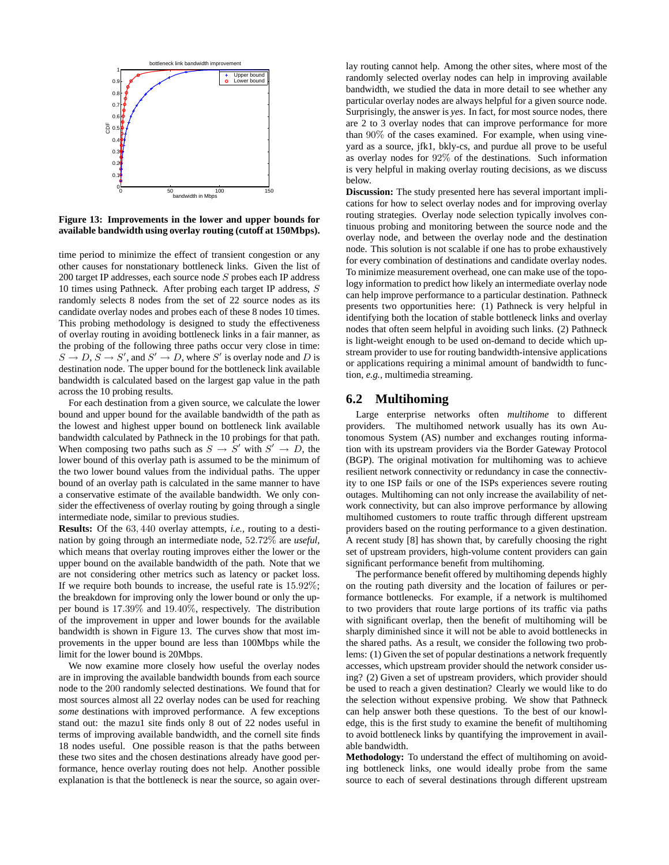

**Figure 13: Improvements in the lower and upper bounds for available bandwidth using overlay routing (cutoff at 150Mbps).**

time period to minimize the effect of transient congestion or any other causes for nonstationary bottleneck links. Given the list of 200 target IP addresses, each source node S probes each IP address 10 times using Pathneck. After probing each target IP address, S randomly selects 8 nodes from the set of 22 source nodes as its candidate overlay nodes and probes each of these 8 nodes 10 times. This probing methodology is designed to study the effectiveness of overlay routing in avoiding bottleneck links in a fair manner, as the probing of the following three paths occur very close in time:  $S \to D$ ,  $S \to S'$ , and  $S' \to D$ , where S' is overlay node and D is destination node. The upper bound for the bottleneck link available bandwidth is calculated based on the largest gap value in the path across the 10 probing results.

For each destination from a given source, we calculate the lower bound and upper bound for the available bandwidth of the path as the lowest and highest upper bound on bottleneck link available bandwidth calculated by Pathneck in the 10 probings for that path. When composing two paths such as  $S \to S'$  with  $S' \to D$ , the lower bound of this overlay path is assumed to be the minimum of the two lower bound values from the individual paths. The upper bound of an overlay path is calculated in the same manner to have a conservative estimate of the available bandwidth. We only consider the effectiveness of overlay routing by going through a single intermediate node, similar to previous studies.

**Results:** Of the 63, 440 overlay attempts, *i.e.,* routing to a destination by going through an intermediate node, 52.72% are *useful*, which means that overlay routing improves either the lower or the upper bound on the available bandwidth of the path. Note that we are not considering other metrics such as latency or packet loss. If we require both bounds to increase, the useful rate is 15.92%; the breakdown for improving only the lower bound or only the upper bound is 17.39% and 19.40%, respectively. The distribution of the improvement in upper and lower bounds for the available bandwidth is shown in Figure 13. The curves show that most improvements in the upper bound are less than 100Mbps while the limit for the lower bound is 20Mbps.

We now examine more closely how useful the overlay nodes are in improving the available bandwidth bounds from each source node to the 200 randomly selected destinations. We found that for most sources almost all 22 overlay nodes can be used for reaching *some* destinations with improved performance. A few exceptions stand out: the mazu1 site finds only 8 out of 22 nodes useful in terms of improving available bandwidth, and the cornell site finds 18 nodes useful. One possible reason is that the paths between these two sites and the chosen destinations already have good performance, hence overlay routing does not help. Another possible explanation is that the bottleneck is near the source, so again overlay routing cannot help. Among the other sites, where most of the randomly selected overlay nodes can help in improving available bandwidth, we studied the data in more detail to see whether any particular overlay nodes are always helpful for a given source node. Surprisingly, the answer is *yes*. In fact, for most source nodes, there are 2 to 3 overlay nodes that can improve performance for more than 90% of the cases examined. For example, when using vineyard as a source, jfk1, bkly-cs, and purdue all prove to be useful as overlay nodes for 92% of the destinations. Such information is very helpful in making overlay routing decisions, as we discuss below.

**Discussion:** The study presented here has several important implications for how to select overlay nodes and for improving overlay routing strategies. Overlay node selection typically involves continuous probing and monitoring between the source node and the overlay node, and between the overlay node and the destination node. This solution is not scalable if one has to probe exhaustively for every combination of destinations and candidate overlay nodes. To minimize measurement overhead, one can make use of the topology information to predict how likely an intermediate overlay node can help improve performance to a particular destination. Pathneck presents two opportunities here: (1) Pathneck is very helpful in identifying both the location of stable bottleneck links and overlay nodes that often seem helpful in avoiding such links. (2) Pathneck is light-weight enough to be used on-demand to decide which upstream provider to use for routing bandwidth-intensive applications or applications requiring a minimal amount of bandwidth to function, *e.g.,* multimedia streaming.

# **6.2 Multihoming**

Large enterprise networks often *multihome* to different providers. The multihomed network usually has its own Autonomous System (AS) number and exchanges routing information with its upstream providers via the Border Gateway Protocol (BGP). The original motivation for multihoming was to achieve resilient network connectivity or redundancy in case the connectivity to one ISP fails or one of the ISPs experiences severe routing outages. Multihoming can not only increase the availability of network connectivity, but can also improve performance by allowing multihomed customers to route traffic through different upstream providers based on the routing performance to a given destination. A recent study [8] has shown that, by carefully choosing the right set of upstream providers, high-volume content providers can gain significant performance benefit from multihoming.

The performance benefit offered by multihoming depends highly on the routing path diversity and the location of failures or performance bottlenecks. For example, if a network is multihomed to two providers that route large portions of its traffic via paths with significant overlap, then the benefit of multihoming will be sharply diminished since it will not be able to avoid bottlenecks in the shared paths. As a result, we consider the following two problems: (1) Given the set of popular destinations a network frequently accesses, which upstream provider should the network consider using? (2) Given a set of upstream providers, which provider should be used to reach a given destination? Clearly we would like to do the selection without expensive probing. We show that Pathneck can help answer both these questions. To the best of our knowledge, this is the first study to examine the benefit of multihoming to avoid bottleneck links by quantifying the improvement in available bandwidth.

**Methodology:** To understand the effect of multihoming on avoiding bottleneck links, one would ideally probe from the same source to each of several destinations through different upstream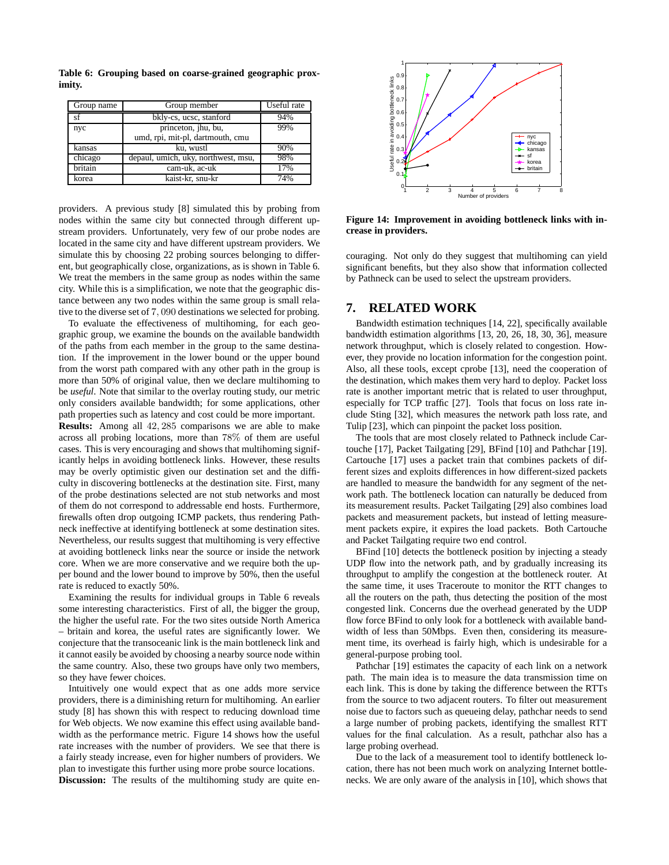**Table 6: Grouping based on coarse-grained geographic proximity.**

| Group name | Group member                        | Useful rate |
|------------|-------------------------------------|-------------|
| sf         | bkly-cs, ucsc, stanford             | 94%         |
| nyc        | princeton, jhu, bu,                 | 99%         |
|            | umd, rpi, mit-pl, dartmouth, cmu    |             |
| kansas     | ku. wustl                           | 90%         |
| chicago    | depaul, umich, uky, northwest, msu, | 98%         |
| britain    | cam-uk, ac-uk                       | 17%         |
| korea      | kaist-kr, snu-kr                    | 74%         |

providers. A previous study [8] simulated this by probing from nodes within the same city but connected through different upstream providers. Unfortunately, very few of our probe nodes are located in the same city and have different upstream providers. We simulate this by choosing 22 probing sources belonging to different, but geographically close, organizations, as is shown in Table 6. We treat the members in the same group as nodes within the same city. While this is a simplification, we note that the geographic distance between any two nodes within the same group is small relative to the diverse set of 7, 090 destinations we selected for probing.

To evaluate the effectiveness of multihoming, for each geographic group, we examine the bounds on the available bandwidth of the paths from each member in the group to the same destination. If the improvement in the lower bound or the upper bound from the worst path compared with any other path in the group is more than 50% of original value, then we declare multihoming to be *useful*. Note that similar to the overlay routing study, our metric only considers available bandwidth; for some applications, other path properties such as latency and cost could be more important. **Results:** Among all 42, 285 comparisons we are able to make across all probing locations, more than 78% of them are useful cases. This is very encouraging and shows that multihoming significantly helps in avoiding bottleneck links. However, these results may be overly optimistic given our destination set and the difficulty in discovering bottlenecks at the destination site. First, many of the probe destinations selected are not stub networks and most of them do not correspond to addressable end hosts. Furthermore, firewalls often drop outgoing ICMP packets, thus rendering Pathneck ineffective at identifying bottleneck at some destination sites.

Nevertheless, our results suggest that multihoming is very effective at avoiding bottleneck links near the source or inside the network core. When we are more conservative and we require both the upper bound and the lower bound to improve by 50%, then the useful rate is reduced to exactly 50%.

Examining the results for individual groups in Table 6 reveals some interesting characteristics. First of all, the bigger the group, the higher the useful rate. For the two sites outside North America – britain and korea, the useful rates are significantly lower. We conjecture that the transoceanic link is the main bottleneck link and it cannot easily be avoided by choosing a nearby source node within the same country. Also, these two groups have only two members, so they have fewer choices.

Intuitively one would expect that as one adds more service providers, there is a diminishing return for multihoming. An earlier study [8] has shown this with respect to reducing download time for Web objects. We now examine this effect using available bandwidth as the performance metric. Figure 14 shows how the useful rate increases with the number of providers. We see that there is a fairly steady increase, even for higher numbers of providers. We plan to investigate this further using more probe source locations. **Discussion:** The results of the multihoming study are quite en-



**Figure 14: Improvement in avoiding bottleneck links with increase in providers.**

couraging. Not only do they suggest that multihoming can yield significant benefits, but they also show that information collected by Pathneck can be used to select the upstream providers.

# **7. RELATED WORK**

Bandwidth estimation techniques [14, 22], specifically available bandwidth estimation algorithms [13, 20, 26, 18, 30, 36], measure network throughput, which is closely related to congestion. However, they provide no location information for the congestion point. Also, all these tools, except cprobe [13], need the cooperation of the destination, which makes them very hard to deploy. Packet loss rate is another important metric that is related to user throughput, especially for TCP traffic [27]. Tools that focus on loss rate include Sting [32], which measures the network path loss rate, and Tulip [23], which can pinpoint the packet loss position.

The tools that are most closely related to Pathneck include Cartouche [17], Packet Tailgating [29], BFind [10] and Pathchar [19]. Cartouche [17] uses a packet train that combines packets of different sizes and exploits differences in how different-sized packets are handled to measure the bandwidth for any segment of the network path. The bottleneck location can naturally be deduced from its measurement results. Packet Tailgating [29] also combines load packets and measurement packets, but instead of letting measurement packets expire, it expires the load packets. Both Cartouche and Packet Tailgating require two end control.

BFind [10] detects the bottleneck position by injecting a steady UDP flow into the network path, and by gradually increasing its throughput to amplify the congestion at the bottleneck router. At the same time, it uses Traceroute to monitor the RTT changes to all the routers on the path, thus detecting the position of the most congested link. Concerns due the overhead generated by the UDP flow force BFind to only look for a bottleneck with available bandwidth of less than 50Mbps. Even then, considering its measurement time, its overhead is fairly high, which is undesirable for a general-purpose probing tool.

Pathchar [19] estimates the capacity of each link on a network path. The main idea is to measure the data transmission time on each link. This is done by taking the difference between the RTTs from the source to two adjacent routers. To filter out measurement noise due to factors such as queueing delay, pathchar needs to send a large number of probing packets, identifying the smallest RTT values for the final calculation. As a result, pathchar also has a large probing overhead.

Due to the lack of a measurement tool to identify bottleneck location, there has not been much work on analyzing Internet bottlenecks. We are only aware of the analysis in [10], which shows that